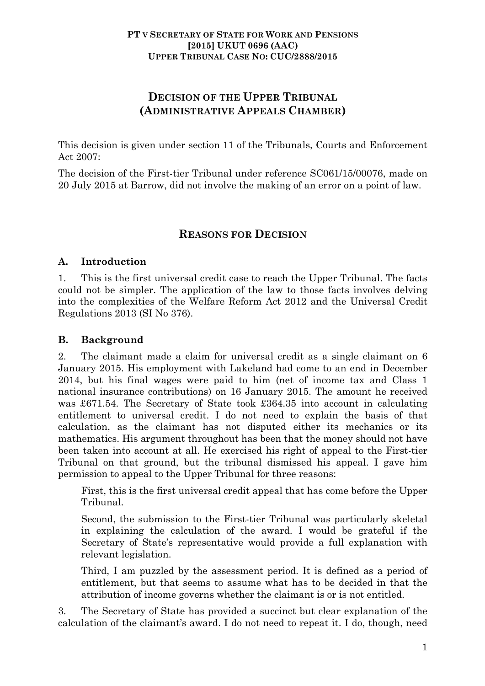# **DECISION OF THE UPPER TRIBUNAL (ADMINISTRATIVE APPEALS CHAMBER)**

This decision is given under section 11 of the Tribunals, Courts and Enforcement Act 2007:

The decision of the First-tier Tribunal under reference SC061/15/00076, made on 20 July 2015 at Barrow, did not involve the making of an error on a point of law.

## **REASONS FOR DECISION**

#### **A. Introduction**

1. This is the first universal credit case to reach the Upper Tribunal. The facts could not be simpler. The application of the law to those facts involves delving into the complexities of the Welfare Reform Act 2012 and the Universal Credit Regulations 2013 (SI No 376).

### **B. Background**

2. The claimant made a claim for universal credit as a single claimant on 6 January 2015. His employment with Lakeland had come to an end in December 2014, but his final wages were paid to him (net of income tax and Class 1 national insurance contributions) on 16 January 2015. The amount he received was £671.54. The Secretary of State took £364.35 into account in calculating entitlement to universal credit. I do not need to explain the basis of that calculation, as the claimant has not disputed either its mechanics or its mathematics. His argument throughout has been that the money should not have been taken into account at all. He exercised his right of appeal to the First-tier Tribunal on that ground, but the tribunal dismissed his appeal. I gave him permission to appeal to the Upper Tribunal for three reasons:

First, this is the first universal credit appeal that has come before the Upper Tribunal.

Second, the submission to the First-tier Tribunal was particularly skeletal in explaining the calculation of the award. I would be grateful if the Secretary of State's representative would provide a full explanation with relevant legislation.

Third, I am puzzled by the assessment period. It is defined as a period of entitlement, but that seems to assume what has to be decided in that the attribution of income governs whether the claimant is or is not entitled.

3. The Secretary of State has provided a succinct but clear explanation of the calculation of the claimant's award. I do not need to repeat it. I do, though, need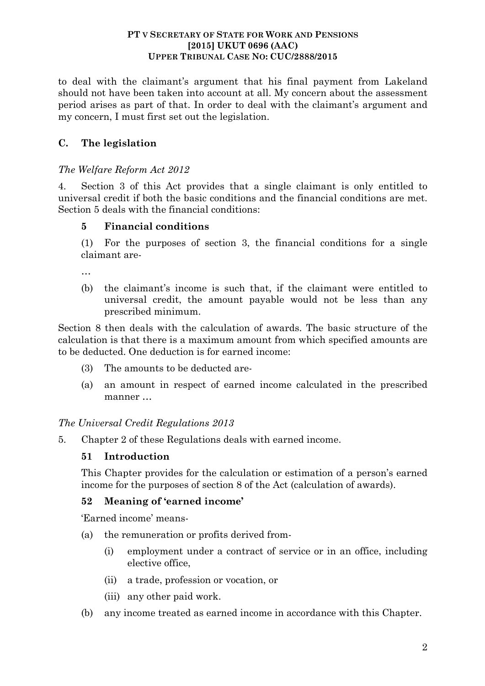#### **PT V SECRETARY OF STATE FOR WORK AND PENSIONS [2015] UKUT 0696 (AAC) UPPER TRIBUNAL CASE NO: CUC/2888/2015**

to deal with the claimant's argument that his final payment from Lakeland should not have been taken into account at all. My concern about the assessment period arises as part of that. In order to deal with the claimant's argument and my concern, I must first set out the legislation.

# **C. The legislation**

### *The Welfare Reform Act 2012*

4. Section 3 of this Act provides that a single claimant is only entitled to universal credit if both the basic conditions and the financial conditions are met. Section 5 deals with the financial conditions:

### **5 Financial conditions**

(1) For the purposes of section 3, the financial conditions for a single claimant are-

…

(b) the claimant's income is such that, if the claimant were entitled to universal credit, the amount payable would not be less than any prescribed minimum.

Section 8 then deals with the calculation of awards. The basic structure of the calculation is that there is a maximum amount from which specified amounts are to be deducted. One deduction is for earned income:

- (3) The amounts to be deducted are-
- (a) an amount in respect of earned income calculated in the prescribed manner …

## *The Universal Credit Regulations 2013*

5. Chapter 2 of these Regulations deals with earned income.

## **51 Introduction**

This Chapter provides for the calculation or estimation of a person's earned income for the purposes of section 8 of the Act (calculation of awards).

#### **52 Meaning of 'earned income'**

'Earned income' means-

- (a) the remuneration or profits derived from-
	- (i) employment under a contract of service or in an office, including elective office,
	- (ii) a trade, profession or vocation, or
	- (iii) any other paid work.
- (b) any income treated as earned income in accordance with this Chapter.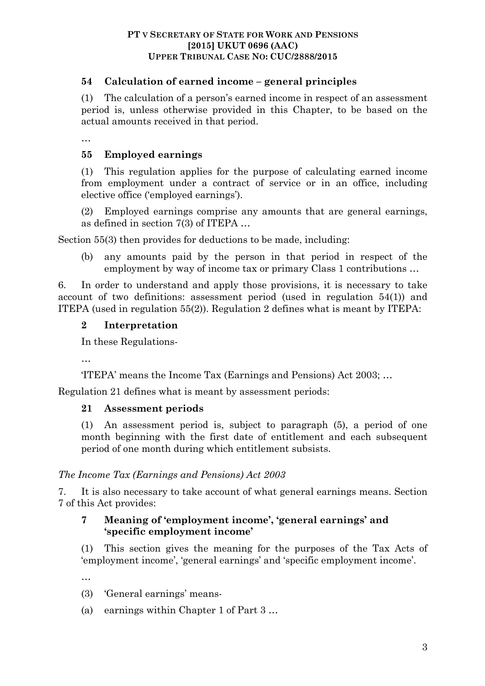### **54 Calculation of earned income – general principles**

(1) The calculation of a person's earned income in respect of an assessment period is, unless otherwise provided in this Chapter, to be based on the actual amounts received in that period.

…

## **55 Employed earnings**

(1) This regulation applies for the purpose of calculating earned income from employment under a contract of service or in an office, including elective office ('employed earnings').

(2) Employed earnings comprise any amounts that are general earnings, as defined in section 7(3) of ITEPA …

Section 55(3) then provides for deductions to be made, including:

(b) any amounts paid by the person in that period in respect of the employment by way of income tax or primary Class 1 contributions …

6. In order to understand and apply those provisions, it is necessary to take account of two definitions: assessment period (used in regulation 54(1)) and ITEPA (used in regulation 55(2)). Regulation 2 defines what is meant by ITEPA:

### **2 Interpretation**

In these Regulations-

…

'ITEPA' means the Income Tax (Earnings and Pensions) Act 2003; …

Regulation 21 defines what is meant by assessment periods:

#### **21 Assessment periods**

(1) An assessment period is, subject to paragraph (5), a period of one month beginning with the first date of entitlement and each subsequent period of one month during which entitlement subsists.

#### *The Income Tax (Earnings and Pensions) Act 2003*

7. It is also necessary to take account of what general earnings means. Section 7 of this Act provides:

## **7 Meaning of 'employment income', 'general earnings' and 'specific employment income'**

(1) This section gives the meaning for the purposes of the Tax Acts of 'employment income', 'general earnings' and 'specific employment income'.

…

- (3) 'General earnings' means-
- (a) earnings within Chapter 1 of Part 3 …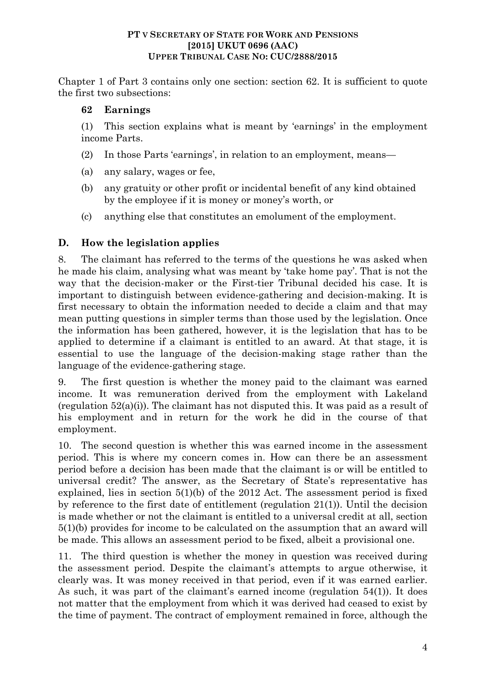#### **PT V SECRETARY OF STATE FOR WORK AND PENSIONS [2015] UKUT 0696 (AAC) UPPER TRIBUNAL CASE NO: CUC/2888/2015**

Chapter 1 of Part 3 contains only one section: section 62. It is sufficient to quote the first two subsections:

## **62 Earnings**

(1) This section explains what is meant by 'earnings' in the employment income Parts.

- (2) In those Parts 'earnings', in relation to an employment, means—
- (a) any salary, wages or fee,
- (b) any gratuity or other profit or incidental benefit of any kind obtained by the employee if it is money or money's worth, or
- (c) anything else that constitutes an emolument of the employment.

# **D. How the legislation applies**

8. The claimant has referred to the terms of the questions he was asked when he made his claim, analysing what was meant by 'take home pay'. That is not the way that the decision-maker or the First-tier Tribunal decided his case. It is important to distinguish between evidence-gathering and decision-making. It is first necessary to obtain the information needed to decide a claim and that may mean putting questions in simpler terms than those used by the legislation. Once the information has been gathered, however, it is the legislation that has to be applied to determine if a claimant is entitled to an award. At that stage, it is essential to use the language of the decision-making stage rather than the language of the evidence-gathering stage.

9. The first question is whether the money paid to the claimant was earned income. It was remuneration derived from the employment with Lakeland (regulation 52(a)(i)). The claimant has not disputed this. It was paid as a result of his employment and in return for the work he did in the course of that employment.

10. The second question is whether this was earned income in the assessment period. This is where my concern comes in. How can there be an assessment period before a decision has been made that the claimant is or will be entitled to universal credit? The answer, as the Secretary of State's representative has explained, lies in section 5(1)(b) of the 2012 Act. The assessment period is fixed by reference to the first date of entitlement (regulation 21(1)). Until the decision is made whether or not the claimant is entitled to a universal credit at all, section 5(1)(b) provides for income to be calculated on the assumption that an award will be made. This allows an assessment period to be fixed, albeit a provisional one.

11. The third question is whether the money in question was received during the assessment period. Despite the claimant's attempts to argue otherwise, it clearly was. It was money received in that period, even if it was earned earlier. As such, it was part of the claimant's earned income (regulation 54(1)). It does not matter that the employment from which it was derived had ceased to exist by the time of payment. The contract of employment remained in force, although the